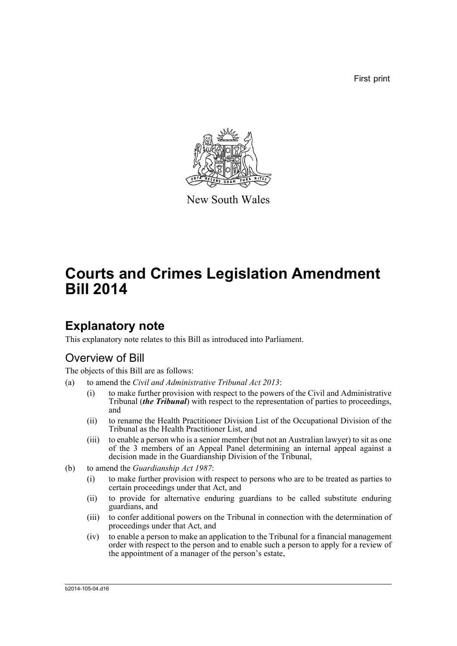First print



New South Wales

# **Courts and Crimes Legislation Amendment Bill 2014**

## **Explanatory note**

This explanatory note relates to this Bill as introduced into Parliament.

## Overview of Bill

The objects of this Bill are as follows:

- (a) to amend the *Civil and Administrative Tribunal Act 2013*:
	- (i) to make further provision with respect to the powers of the Civil and Administrative Tribunal (*the Tribunal*) with respect to the representation of parties to proceedings, and
	- (ii) to rename the Health Practitioner Division List of the Occupational Division of the Tribunal as the Health Practitioner List, and
	- (iii) to enable a person who is a senior member (but not an Australian lawyer) to sit as one of the 3 members of an Appeal Panel determining an internal appeal against a decision made in the Guardianship Division of the Tribunal,
- (b) to amend the *Guardianship Act 1987*:
	- (i) to make further provision with respect to persons who are to be treated as parties to certain proceedings under that Act, and
	- (ii) to provide for alternative enduring guardians to be called substitute enduring guardians, and
	- (iii) to confer additional powers on the Tribunal in connection with the determination of proceedings under that Act, and
	- (iv) to enable a person to make an application to the Tribunal for a financial management order with respect to the person and to enable such a person to apply for a review of the appointment of a manager of the person's estate,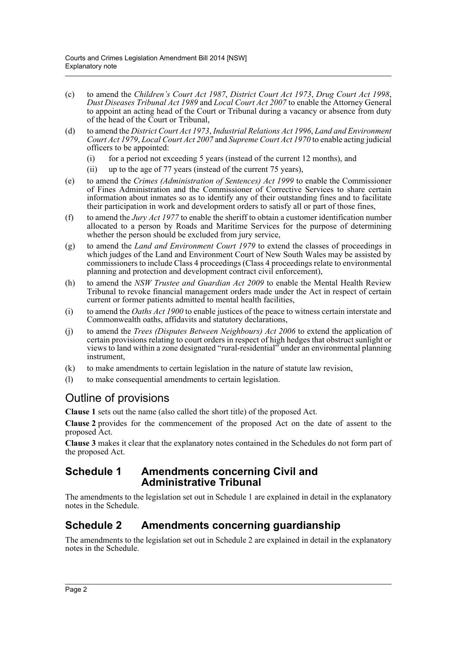- (c) to amend the *Children's Court Act 1987*, *District Court Act 1973*, *Drug Court Act 1998*, *Dust Diseases Tribunal Act 1989* and *Local Court Act 2007* to enable the Attorney General to appoint an acting head of the Court or Tribunal during a vacancy or absence from duty of the head of the Court or Tribunal,
- (d) to amend the *District Court Act 1973*, *Industrial Relations Act 1996*, *Land and Environment Court Act 1979*, *Local Court Act 2007* and *Supreme Court Act 1970* to enable acting judicial officers to be appointed:
	- (i) for a period not exceeding 5 years (instead of the current 12 months), and
	- (ii) up to the age of 77 years (instead of the current 75 years),
- (e) to amend the *Crimes (Administration of Sentences) Act 1999* to enable the Commissioner of Fines Administration and the Commissioner of Corrective Services to share certain information about inmates so as to identify any of their outstanding fines and to facilitate their participation in work and development orders to satisfy all or part of those fines,
- (f) to amend the *Jury Act 1977* to enable the sheriff to obtain a customer identification number allocated to a person by Roads and Maritime Services for the purpose of determining whether the person should be excluded from jury service,
- (g) to amend the *Land and Environment Court 1979* to extend the classes of proceedings in which judges of the Land and Environment Court of New South Wales may be assisted by commissioners to include Class 4 proceedings (Class 4 proceedings relate to environmental planning and protection and development contract civil enforcement),
- (h) to amend the *NSW Trustee and Guardian Act 2009* to enable the Mental Health Review Tribunal to revoke financial management orders made under the Act in respect of certain current or former patients admitted to mental health facilities,
- (i) to amend the *Oaths Act 1900* to enable justices of the peace to witness certain interstate and Commonwealth oaths, affidavits and statutory declarations,
- (j) to amend the *Trees (Disputes Between Neighbours) Act 2006* to extend the application of certain provisions relating to court orders in respect of high hedges that obstruct sunlight or views to land within a zone designated "rural-residential" under an environmental planning instrument,
- (k) to make amendments to certain legislation in the nature of statute law revision,
- (l) to make consequential amendments to certain legislation.

## Outline of provisions

**Clause 1** sets out the name (also called the short title) of the proposed Act.

**Clause 2** provides for the commencement of the proposed Act on the date of assent to the proposed Act.

**Clause 3** makes it clear that the explanatory notes contained in the Schedules do not form part of the proposed Act.

### **Schedule 1 Amendments concerning Civil and Administrative Tribunal**

The amendments to the legislation set out in Schedule 1 are explained in detail in the explanatory notes in the Schedule.

### **Schedule 2 Amendments concerning guardianship**

The amendments to the legislation set out in Schedule 2 are explained in detail in the explanatory notes in the Schedule.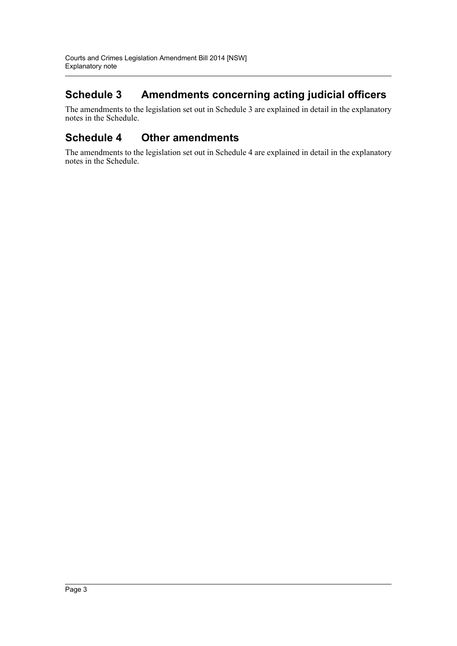## **Schedule 3 Amendments concerning acting judicial officers**

The amendments to the legislation set out in Schedule 3 are explained in detail in the explanatory notes in the Schedule.

## **Schedule 4 Other amendments**

The amendments to the legislation set out in Schedule 4 are explained in detail in the explanatory notes in the Schedule.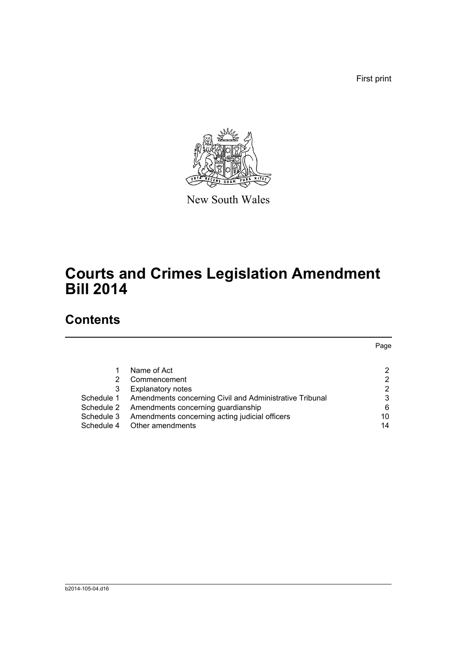First print



New South Wales

# **Courts and Crimes Legislation Amendment Bill 2014**

## **Contents**

|            |                                                         | Page |
|------------|---------------------------------------------------------|------|
|            |                                                         |      |
|            | Name of Act                                             | 2    |
|            | Commencement                                            | 2    |
| 3          | <b>Explanatory notes</b>                                | 2    |
| Schedule 1 | Amendments concerning Civil and Administrative Tribunal | 3    |
| Schedule 2 | Amendments concerning guardianship                      | 6    |
| Schedule 3 | Amendments concerning acting judicial officers          | 10   |
| Schedule 4 | Other amendments                                        | 14   |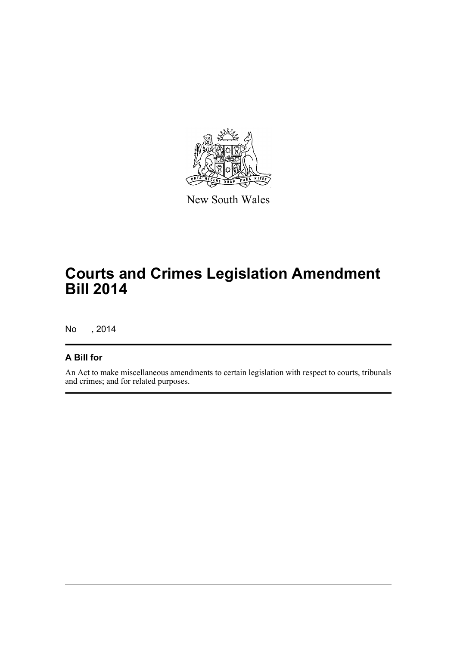

New South Wales

# **Courts and Crimes Legislation Amendment Bill 2014**

No , 2014

### **A Bill for**

An Act to make miscellaneous amendments to certain legislation with respect to courts, tribunals and crimes; and for related purposes.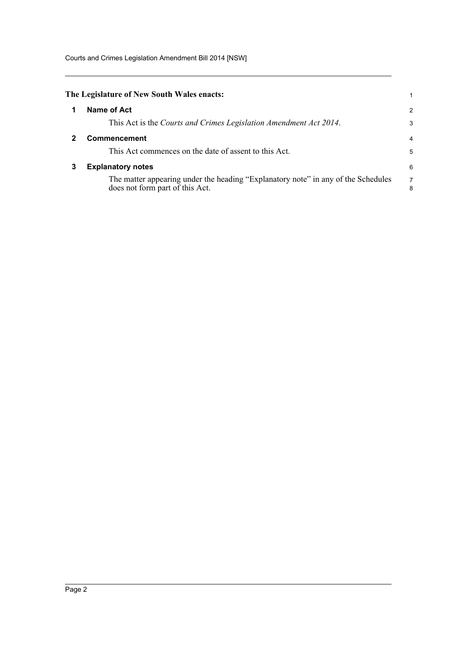Courts and Crimes Legislation Amendment Bill 2014 [NSW]

<span id="page-5-2"></span><span id="page-5-1"></span><span id="page-5-0"></span>

|   | The Legislature of New South Wales enacts:                                                                           |        |
|---|----------------------------------------------------------------------------------------------------------------------|--------|
|   | Name of Act                                                                                                          | 2      |
|   | This Act is the Courts and Crimes Legislation Amendment Act 2014.                                                    | 3      |
|   | <b>Commencement</b>                                                                                                  | 4      |
|   | This Act commences on the date of assent to this Act.                                                                | 5      |
| 3 | <b>Explanatory notes</b>                                                                                             | 6      |
|   | The matter appearing under the heading "Explanatory note" in any of the Schedules<br>does not form part of this Act. | 7<br>8 |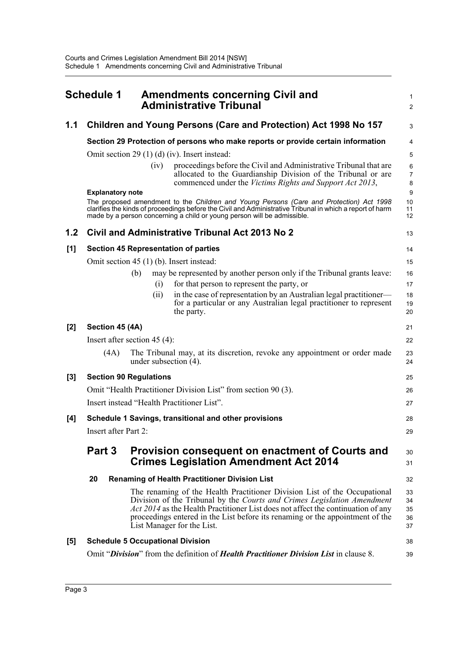<span id="page-6-0"></span>

|       | <b>Schedule 1</b>       | <b>Amendments concerning Civil and</b><br><b>Administrative Tribunal</b>                                                                                                                                                                                                                                                                                | 1<br>$\overline{\mathbf{c}}$ |
|-------|-------------------------|---------------------------------------------------------------------------------------------------------------------------------------------------------------------------------------------------------------------------------------------------------------------------------------------------------------------------------------------------------|------------------------------|
| 1.1   |                         | Children and Young Persons (Care and Protection) Act 1998 No 157                                                                                                                                                                                                                                                                                        | 3                            |
|       |                         | Section 29 Protection of persons who make reports or provide certain information                                                                                                                                                                                                                                                                        | 4                            |
|       |                         | Omit section 29 $(1)$ (d) (iv). Insert instead:                                                                                                                                                                                                                                                                                                         | 5                            |
|       |                         | proceedings before the Civil and Administrative Tribunal that are<br>(iv)<br>allocated to the Guardianship Division of the Tribunal or are<br>commenced under the Victims Rights and Support Act 2013,                                                                                                                                                  | 6<br>7<br>8                  |
|       | <b>Explanatory note</b> | The proposed amendment to the Children and Young Persons (Care and Protection) Act 1998<br>clarifies the kinds of proceedings before the Civil and Administrative Tribunal in which a report of harm<br>made by a person concerning a child or young person will be admissible.                                                                         | 9<br>10<br>11<br>12          |
| 1.2   |                         | Civil and Administrative Tribunal Act 2013 No 2                                                                                                                                                                                                                                                                                                         | 13                           |
| [1]   |                         | <b>Section 45 Representation of parties</b>                                                                                                                                                                                                                                                                                                             | 14                           |
|       |                         | Omit section 45 (1) (b). Insert instead:                                                                                                                                                                                                                                                                                                                | 15                           |
|       |                         | may be represented by another person only if the Tribunal grants leave:<br>(b)                                                                                                                                                                                                                                                                          | 16                           |
|       |                         | for that person to represent the party, or<br>(i)                                                                                                                                                                                                                                                                                                       | 17                           |
|       |                         | in the case of representation by an Australian legal practitioner—<br>(i)<br>for a particular or any Australian legal practitioner to represent<br>the party.                                                                                                                                                                                           | 18<br>19<br>20               |
| [2]   | Section 45 (4A)         |                                                                                                                                                                                                                                                                                                                                                         | 21                           |
|       |                         | Insert after section 45 $(4)$ :                                                                                                                                                                                                                                                                                                                         | 22                           |
|       | (4A)                    | The Tribunal may, at its discretion, revoke any appointment or order made<br>under subsection $(4)$ .                                                                                                                                                                                                                                                   | 23<br>24                     |
| $[3]$ |                         | <b>Section 90 Regulations</b>                                                                                                                                                                                                                                                                                                                           | 25                           |
|       |                         | Omit "Health Practitioner Division List" from section 90 (3).                                                                                                                                                                                                                                                                                           | 26                           |
|       |                         | Insert instead "Health Practitioner List".                                                                                                                                                                                                                                                                                                              | 27                           |
| [4]   |                         | Schedule 1 Savings, transitional and other provisions                                                                                                                                                                                                                                                                                                   | 28                           |
|       | Insert after Part 2:    |                                                                                                                                                                                                                                                                                                                                                         | 29                           |
|       | Part 3                  | Provision consequent on enactment of Courts and<br><b>Crimes Legislation Amendment Act 2014</b>                                                                                                                                                                                                                                                         | 30<br>31                     |
|       | 20                      | <b>Renaming of Health Practitioner Division List</b>                                                                                                                                                                                                                                                                                                    | 32                           |
|       |                         | The renaming of the Health Practitioner Division List of the Occupational<br>Division of the Tribunal by the Courts and Crimes Legislation Amendment<br>Act 2014 as the Health Practitioner List does not affect the continuation of any<br>proceedings entered in the List before its renaming or the appointment of the<br>List Manager for the List. | 33<br>34<br>35<br>36<br>37   |
| [5]   |                         | <b>Schedule 5 Occupational Division</b>                                                                                                                                                                                                                                                                                                                 | 38                           |
|       |                         | Omit "Division" from the definition of <i>Health Practitioner Division List</i> in clause 8.                                                                                                                                                                                                                                                            | 39                           |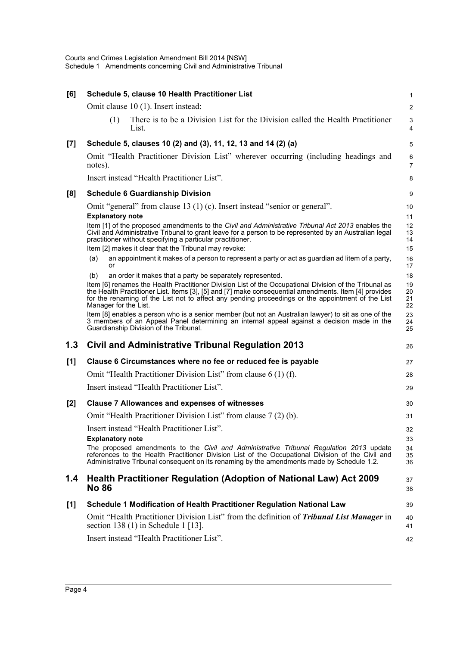| [6]   | Schedule 5, clause 10 Health Practitioner List                                                                                                                                                                                                                                                                                             | 1                    |
|-------|--------------------------------------------------------------------------------------------------------------------------------------------------------------------------------------------------------------------------------------------------------------------------------------------------------------------------------------------|----------------------|
|       | Omit clause 10 (1). Insert instead:                                                                                                                                                                                                                                                                                                        | $\overline{2}$       |
|       | There is to be a Division List for the Division called the Health Practitioner<br>(1)<br>List.                                                                                                                                                                                                                                             | 3<br>4               |
| $[7]$ | Schedule 5, clauses 10 (2) and (3), 11, 12, 13 and 14 (2) (a)                                                                                                                                                                                                                                                                              | $\overline{5}$       |
|       | Omit "Health Practitioner Division List" wherever occurring (including headings and<br>notes).                                                                                                                                                                                                                                             | 6<br>$\overline{7}$  |
|       | Insert instead "Health Practitioner List".                                                                                                                                                                                                                                                                                                 | 8                    |
| [8]   | <b>Schedule 6 Guardianship Division</b>                                                                                                                                                                                                                                                                                                    | 9                    |
|       | Omit "general" from clause 13 (1) (c). Insert instead "senior or general".                                                                                                                                                                                                                                                                 | 10                   |
|       | <b>Explanatory note</b>                                                                                                                                                                                                                                                                                                                    | 11                   |
|       | Item [1] of the proposed amendments to the Civil and Administrative Tribunal Act 2013 enables the<br>Civil and Administrative Tribunal to grant leave for a person to be represented by an Australian legal<br>practitioner without specifying a particular practitioner.                                                                  | 12<br>13<br>14       |
|       | Item [2] makes it clear that the Tribunal may revoke:                                                                                                                                                                                                                                                                                      | 15                   |
|       | an appointment it makes of a person to represent a party or act as guardian ad litem of a party,<br>(a)<br>or                                                                                                                                                                                                                              | 16<br>17             |
|       | (b)<br>an order it makes that a party be separately represented.                                                                                                                                                                                                                                                                           | 18                   |
|       | Item [6] renames the Health Practitioner Division List of the Occupational Division of the Tribunal as<br>the Health Practitioner List. Items [3], [5] and [7] make consequential amendments. Item [4] provides for the renaming of the List not to affect any pending proceedings or the appointment of the List<br>Manager for the List. | 19<br>20<br>21<br>22 |
|       |                                                                                                                                                                                                                                                                                                                                            |                      |
|       | Item [8] enables a person who is a senior member (but not an Australian lawyer) to sit as one of the<br>3 members of an Appeal Panel determining an internal appeal against a decision made in the<br>Guardianship Division of the Tribunal.                                                                                               | 23<br>24<br>25       |
| 1.3   | <b>Civil and Administrative Tribunal Regulation 2013</b>                                                                                                                                                                                                                                                                                   | 26                   |
| [1]   | Clause 6 Circumstances where no fee or reduced fee is payable                                                                                                                                                                                                                                                                              | 27                   |
|       | Omit "Health Practitioner Division List" from clause 6 (1) (f).                                                                                                                                                                                                                                                                            | 28                   |
|       | Insert instead "Health Practitioner List".                                                                                                                                                                                                                                                                                                 | 29                   |
| [2]   | <b>Clause 7 Allowances and expenses of witnesses</b>                                                                                                                                                                                                                                                                                       | 30                   |
|       | Omit "Health Practitioner Division List" from clause 7 (2) (b).                                                                                                                                                                                                                                                                            | 31                   |
|       |                                                                                                                                                                                                                                                                                                                                            |                      |
|       | Insert instead "Health Practitioner List".                                                                                                                                                                                                                                                                                                 | 32                   |
|       | <b>Explanatory note</b><br>The proposed amendments to the Civil and Administrative Tribunal Regulation 2013 update<br>references to the Health Practitioner Division List of the Occupational Division of the Civil and<br>Administrative Tribunal consequent on its renaming by the amendments made by Schedule 1.2.                      | 33<br>34<br>35<br>36 |
| 1.4   | Health Practitioner Regulation (Adoption of National Law) Act 2009<br><b>No 86</b>                                                                                                                                                                                                                                                         | 37<br>38             |
| [1]   | Schedule 1 Modification of Health Practitioner Regulation National Law                                                                                                                                                                                                                                                                     | 39                   |
|       | Omit "Health Practitioner Division List" from the definition of <i>Tribunal List Manager</i> in<br>section 138 $(1)$ in Schedule 1 [13].                                                                                                                                                                                                   | 40<br>41             |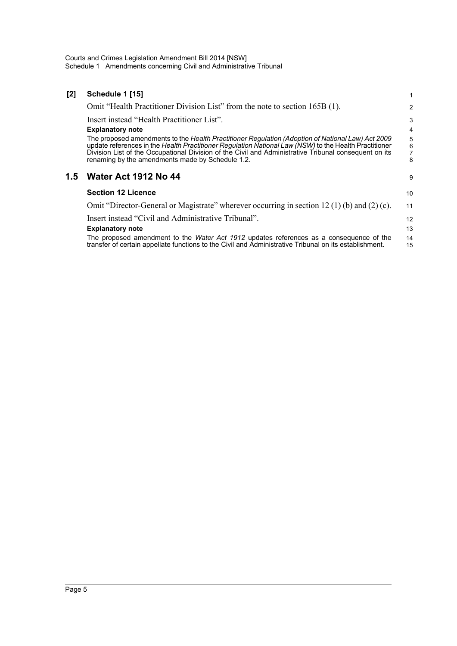| [2] | Schedule 1 [15]                                                                                                                                                                                                                                                                                                                                                         | 1                             |
|-----|-------------------------------------------------------------------------------------------------------------------------------------------------------------------------------------------------------------------------------------------------------------------------------------------------------------------------------------------------------------------------|-------------------------------|
|     | Omit "Health Practitioner Division List" from the note to section 165B (1).                                                                                                                                                                                                                                                                                             | 2                             |
|     | Insert instead "Health Practitioner List".                                                                                                                                                                                                                                                                                                                              | 3                             |
|     | <b>Explanatory note</b>                                                                                                                                                                                                                                                                                                                                                 | 4                             |
|     | The proposed amendments to the Health Practitioner Regulation (Adoption of National Law) Act 2009<br>update references in the Health Practitioner Regulation National Law (NSW) to the Health Practitioner<br>Division List of the Occupational Division of the Civil and Administrative Tribunal consequent on its<br>renaming by the amendments made by Schedule 1.2. | 5<br>6<br>$\overline{7}$<br>8 |
| 1.5 | <b>Water Act 1912 No 44</b>                                                                                                                                                                                                                                                                                                                                             | 9                             |
|     | <b>Section 12 Licence</b>                                                                                                                                                                                                                                                                                                                                               | 10                            |
|     | Omit "Director-General or Magistrate" wherever occurring in section 12 (1) (b) and (2) (c).                                                                                                                                                                                                                                                                             | 11                            |
|     | Insert instead "Civil and Administrative Tribunal".                                                                                                                                                                                                                                                                                                                     | 12                            |
|     | <b>Explanatory note</b>                                                                                                                                                                                                                                                                                                                                                 | 13                            |
|     | The proposed amendment to the <i>Water Act 1912</i> updates references as a consequence of the<br>transfer of certain appellate functions to the Civil and Administrative Tribunal on its establishment.                                                                                                                                                                | 14<br>15                      |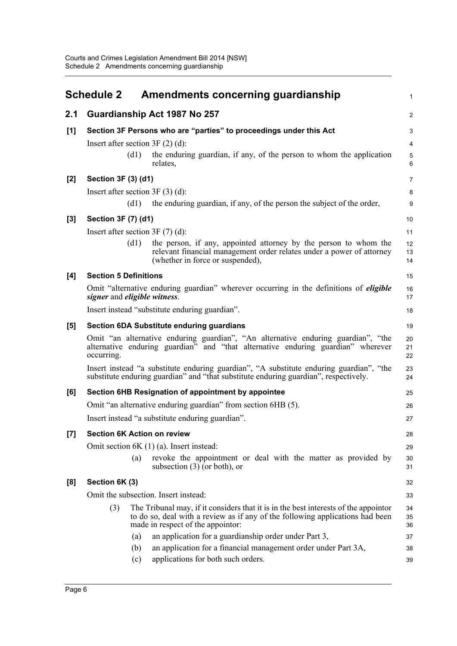<span id="page-9-0"></span>

|       | <b>Schedule 2</b>                    | Amendments concerning guardianship                                                                                                                                                                          | $\mathbf{1}$        |
|-------|--------------------------------------|-------------------------------------------------------------------------------------------------------------------------------------------------------------------------------------------------------------|---------------------|
| 2.1   |                                      | Guardianship Act 1987 No 257                                                                                                                                                                                | 2                   |
| [1]   |                                      | Section 3F Persons who are "parties" to proceedings under this Act                                                                                                                                          | 3                   |
|       | Insert after section $3F(2)$ (d):    |                                                                                                                                                                                                             | 4                   |
|       | (d1)                                 | the enduring guardian, if any, of the person to whom the application<br>relates,                                                                                                                            | $\overline{5}$<br>6 |
| $[2]$ | Section 3F (3) (d1)                  |                                                                                                                                                                                                             | $\overline{7}$      |
|       | Insert after section $3F(3)(d)$ :    |                                                                                                                                                                                                             | 8                   |
|       | (d1)                                 | the enduring guardian, if any, of the person the subject of the order,                                                                                                                                      | 9                   |
| $[3]$ | Section 3F (7) (d1)                  |                                                                                                                                                                                                             | 10                  |
|       | Insert after section $3F(7)(d)$ :    |                                                                                                                                                                                                             | 11                  |
|       | (d1)                                 | the person, if any, appointed attorney by the person to whom the<br>relevant financial management order relates under a power of attorney<br>(whether in force or suspended),                               | 12<br>13<br>14      |
| [4]   | <b>Section 5 Definitions</b>         |                                                                                                                                                                                                             | 15                  |
|       | signer and eligible witness.         | Omit "alternative enduring guardian" wherever occurring in the definitions of <i>eligible</i>                                                                                                               | 16<br>17            |
|       |                                      | Insert instead "substitute enduring guardian".                                                                                                                                                              | 18                  |
| [5]   |                                      | <b>Section 6DA Substitute enduring guardians</b>                                                                                                                                                            | 19                  |
|       | occurring.                           | Omit "an alternative enduring guardian", "An alternative enduring guardian", "the<br>alternative enduring guardian" and "that alternative enduring guardian" wherever                                       | 20<br>21<br>22      |
|       |                                      | Insert instead "a substitute enduring guardian", "A substitute enduring guardian", "the<br>substitute enduring guardian" and "that substitute enduring guardian", respectively.                             | 23<br>24            |
| [6]   |                                      | Section 6HB Resignation of appointment by appointee                                                                                                                                                         | 25                  |
|       |                                      | Omit "an alternative enduring guardian" from section 6HB (5).                                                                                                                                               | 26                  |
|       |                                      | Insert instead "a substitute enduring guardian".                                                                                                                                                            | 27                  |
| $[7]$ | <b>Section 6K Action on review</b>   |                                                                                                                                                                                                             | 28                  |
|       |                                      | Omit section $6K(1)(a)$ . Insert instead:                                                                                                                                                                   | 29                  |
|       | (a)                                  | revoke the appointment or deal with the matter as provided by<br>subsection $(3)$ (or both), or                                                                                                             | 30<br>31            |
| [8]   | Section 6K (3)                       |                                                                                                                                                                                                             | 32                  |
|       | Omit the subsection. Insert instead: |                                                                                                                                                                                                             | 33                  |
|       | (3)                                  | The Tribunal may, if it considers that it is in the best interests of the appoint or<br>to do so, deal with a review as if any of the following applications had been<br>made in respect of the appoint or: | 34<br>35<br>36      |
|       | (a)                                  | an application for a guardianship order under Part 3,                                                                                                                                                       | 37                  |
|       | (b)<br>(c)                           | an application for a financial management order under Part 3A,<br>applications for both such orders.                                                                                                        | 38<br>39            |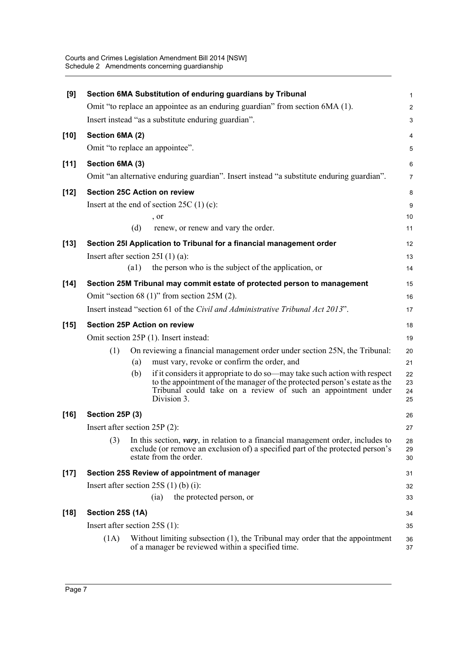| [9]    |                                 |                    | Section 6MA Substitution of enduring guardians by Tribunal                                                                                                                                                                            | 1                       |
|--------|---------------------------------|--------------------|---------------------------------------------------------------------------------------------------------------------------------------------------------------------------------------------------------------------------------------|-------------------------|
|        |                                 |                    | Omit "to replace an appointee as an enduring guardian" from section 6MA (1).                                                                                                                                                          | $\overline{\mathbf{c}}$ |
|        |                                 |                    | Insert instead "as a substitute enduring guardian".                                                                                                                                                                                   | 3                       |
| $[10]$ | Section 6MA (2)                 |                    |                                                                                                                                                                                                                                       | 4                       |
|        |                                 |                    | Omit "to replace an appointee".                                                                                                                                                                                                       | 5                       |
| $[11]$ | Section 6MA (3)                 |                    |                                                                                                                                                                                                                                       | 6                       |
|        |                                 |                    | Omit "an alternative enduring guardian". Insert instead "a substitute enduring guardian".                                                                                                                                             | 7                       |
| $[12]$ |                                 |                    | <b>Section 25C Action on review</b>                                                                                                                                                                                                   | 8                       |
|        |                                 |                    | Insert at the end of section $25C(1)(c)$ :                                                                                                                                                                                            | 9                       |
|        |                                 |                    | , or                                                                                                                                                                                                                                  | 10                      |
|        |                                 | (d)                | renew, or renew and vary the order.                                                                                                                                                                                                   | 11                      |
| $[13]$ |                                 |                    | Section 25I Application to Tribunal for a financial management order                                                                                                                                                                  | 12                      |
|        |                                 |                    | Insert after section $25I(1)(a)$ :                                                                                                                                                                                                    | 13                      |
|        |                                 | $\left( a1\right)$ | the person who is the subject of the application, or                                                                                                                                                                                  | 14                      |
| $[14]$ |                                 |                    | Section 25M Tribunal may commit estate of protected person to management                                                                                                                                                              | 15                      |
|        |                                 |                    | Omit "section 68 $(1)$ " from section 25M $(2)$ .                                                                                                                                                                                     | 16                      |
|        |                                 |                    | Insert instead "section 61 of the Civil and Administrative Tribunal Act 2013".                                                                                                                                                        | 17                      |
| $[15]$ |                                 |                    | <b>Section 25P Action on review</b>                                                                                                                                                                                                   | 18                      |
|        |                                 |                    | Omit section 25P (1). Insert instead:                                                                                                                                                                                                 | 19                      |
|        | (1)                             |                    | On reviewing a financial management order under section 25N, the Tribunal:                                                                                                                                                            | 20                      |
|        |                                 | (a)                | must vary, revoke or confirm the order, and                                                                                                                                                                                           | 21                      |
|        |                                 | (b)                | if it considers it appropriate to do so—may take such action with respect<br>to the appointment of the manager of the protected person's estate as the<br>Tribunal could take on a review of such an appointment under<br>Division 3. | 22<br>23<br>24<br>25    |
| $[16]$ | Section 25P (3)                 |                    |                                                                                                                                                                                                                                       | 26                      |
|        | Insert after section $25P(2)$ : |                    |                                                                                                                                                                                                                                       | 27                      |
|        | (3)                             |                    | In this section, <i>vary</i> , in relation to a financial management order, includes to<br>exclude (or remove an exclusion of) a specified part of the protected person's<br>estate from the order.                                   | 28<br>29<br>30          |
| $[17]$ |                                 |                    | Section 25S Review of appointment of manager                                                                                                                                                                                          | 31                      |
|        |                                 |                    | Insert after section $25S(1)$ (b) (i):                                                                                                                                                                                                | 32                      |
|        |                                 |                    | the protected person, or<br>(ia)                                                                                                                                                                                                      | 33                      |
| $[18]$ | Section 25S (1A)                |                    |                                                                                                                                                                                                                                       | 34                      |
|        | Insert after section $25S(1)$ : |                    |                                                                                                                                                                                                                                       | 35                      |
|        | (1A)                            |                    | Without limiting subsection $(1)$ , the Tribunal may order that the appointment<br>of a manager be reviewed within a specified time.                                                                                                  | 36<br>37                |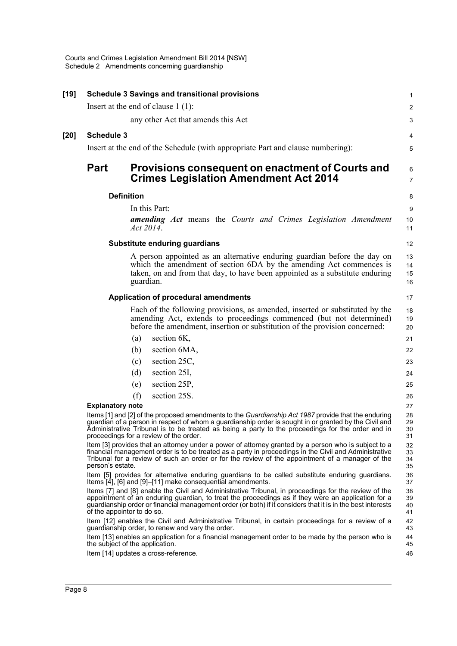| [19] |                            | <b>Schedule 3 Savings and transitional provisions</b>                                                                                                                                                                                                                                                                                                       | $\mathbf{1}$         |
|------|----------------------------|-------------------------------------------------------------------------------------------------------------------------------------------------------------------------------------------------------------------------------------------------------------------------------------------------------------------------------------------------------------|----------------------|
|      |                            | Insert at the end of clause $1(1)$ :                                                                                                                                                                                                                                                                                                                        | 2                    |
|      |                            | any other Act that amends this Act                                                                                                                                                                                                                                                                                                                          | 3                    |
| [20] | <b>Schedule 3</b>          |                                                                                                                                                                                                                                                                                                                                                             | 4                    |
|      |                            | Insert at the end of the Schedule (with appropriate Part and clause numbering):                                                                                                                                                                                                                                                                             | 5                    |
|      | <b>Part</b>                | Provisions consequent on enactment of Courts and<br><b>Crimes Legislation Amendment Act 2014</b>                                                                                                                                                                                                                                                            | 6<br>$\overline{7}$  |
|      |                            | <b>Definition</b>                                                                                                                                                                                                                                                                                                                                           | 8                    |
|      |                            | In this Part:                                                                                                                                                                                                                                                                                                                                               | 9                    |
|      |                            | <b>amending Act</b> means the Courts and Crimes Legislation Amendment<br>Act 2014.                                                                                                                                                                                                                                                                          | 10<br>11             |
|      |                            | Substitute enduring guardians                                                                                                                                                                                                                                                                                                                               | 12                   |
|      |                            | A person appointed as an alternative enduring guardian before the day on<br>which the amendment of section 6DA by the amending Act commences is<br>taken, on and from that day, to have been appointed as a substitute enduring<br>guardian.                                                                                                                | 13<br>14<br>15<br>16 |
|      |                            | Application of procedural amendments                                                                                                                                                                                                                                                                                                                        | 17                   |
|      |                            | Each of the following provisions, as amended, inserted or substituted by the<br>amending Act, extends to proceedings commenced (but not determined)<br>before the amendment, insertion or substitution of the provision concerned:                                                                                                                          | 18<br>19<br>20       |
|      |                            | section 6K,<br>(a)                                                                                                                                                                                                                                                                                                                                          | 21                   |
|      |                            | section 6MA,<br>(b)                                                                                                                                                                                                                                                                                                                                         | 22                   |
|      |                            | section 25C,<br>(c)                                                                                                                                                                                                                                                                                                                                         | 23                   |
|      |                            | section 25I,<br>(d)                                                                                                                                                                                                                                                                                                                                         | 24                   |
|      |                            | section 25P,<br>(e)                                                                                                                                                                                                                                                                                                                                         | 25                   |
|      |                            | section 25S.<br>(f)                                                                                                                                                                                                                                                                                                                                         | 26                   |
|      | <b>Explanatory note</b>    |                                                                                                                                                                                                                                                                                                                                                             | 27                   |
|      |                            | Items [1] and [2] of the proposed amendments to the Guardianship Act 1987 provide that the enduring<br>guardian of a person in respect of whom a guardianship order is sought in or granted by the Civil and<br>Administrative Tribunal is to be treated as being a party to the proceedings for the order and in<br>proceedings for a review of the order. | 28<br>29<br>30<br>31 |
|      | person's estate.           | Item [3] provides that an attorney under a power of attorney granted by a person who is subject to a<br>financial management order is to be treated as a party in proceedings in the Civil and Administrative<br>Tribunal for a review of such an order or for the review of the appointment of a manager of the                                            | 32<br>33<br>34<br>35 |
|      |                            | Item [5] provides for alternative enduring guardians to be called substitute enduring guardians.<br>Items [4], [6] and [9]-[11] make consequential amendments.                                                                                                                                                                                              | 36<br>37             |
|      | of the appointor to do so. | Items [7] and [8] enable the Civil and Administrative Tribunal, in proceedings for the review of the<br>appointment of an enduring guardian, to treat the proceedings as if they were an application for a<br>guardianship order or financial management order (or both) if it considers that it is in the best interests                                   | 38<br>39<br>40<br>41 |
|      |                            | Item [12] enables the Civil and Administrative Tribunal, in certain proceedings for a review of a<br>guardianship order, to renew and vary the order.                                                                                                                                                                                                       | 42<br>43             |
|      |                            | Item [13] enables an application for a financial management order to be made by the person who is<br>the subject of the application.                                                                                                                                                                                                                        | 44<br>45             |
|      |                            | Item [14] updates a cross-reference.                                                                                                                                                                                                                                                                                                                        | 46                   |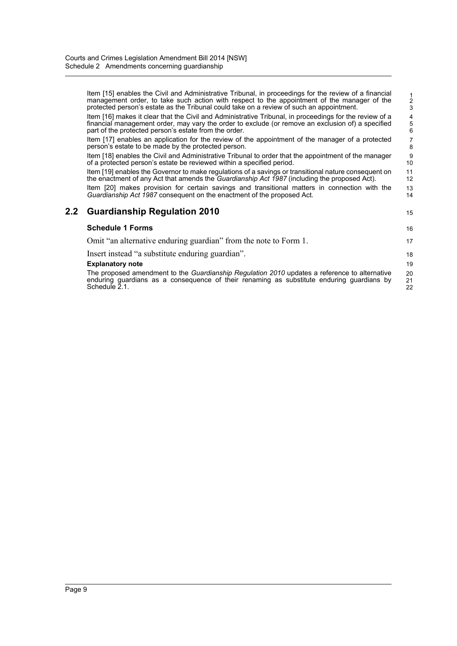|     | Item [15] enables the Civil and Administrative Tribunal, in proceedings for the review of a financial<br>management order, to take such action with respect to the appointment of the manager of the<br>protected person's estate as the Tribunal could take on a review of such an appointment. | $\frac{1}{3}$                              |
|-----|--------------------------------------------------------------------------------------------------------------------------------------------------------------------------------------------------------------------------------------------------------------------------------------------------|--------------------------------------------|
|     | Item [16] makes it clear that the Civil and Administrative Tribunal, in proceedings for the review of a<br>financial management order, may vary the order to exclude (or remove an exclusion of) a specified<br>part of the protected person's estate from the order.                            | $\begin{array}{c} 4 \\ 5 \\ 6 \end{array}$ |
|     | Item [17] enables an application for the review of the appointment of the manager of a protected<br>person's estate to be made by the protected person.                                                                                                                                          | 7<br>8                                     |
|     | Item [18] enables the Civil and Administrative Tribunal to order that the appointment of the manager<br>of a protected person's estate be reviewed within a specified period.                                                                                                                    | 9<br>10                                    |
|     | Item [19] enables the Governor to make regulations of a savings or transitional nature consequent on<br>the enactment of any Act that amends the <i>Guardianship Act 1987</i> (including the proposed Act).                                                                                      | 11<br>12                                   |
|     | Item [20] makes provision for certain savings and transitional matters in connection with the<br>Guardianship Act 1987 consequent on the enactment of the proposed Act.                                                                                                                          | 13<br>14                                   |
| 2.2 | <b>Guardianship Regulation 2010</b>                                                                                                                                                                                                                                                              | 15                                         |
|     | <b>Schedule 1 Forms</b>                                                                                                                                                                                                                                                                          | 16                                         |
|     | Omit "an alternative enduring guardian" from the note to Form 1.                                                                                                                                                                                                                                 | 17                                         |
|     | Insert instead "a substitute enduring guardian".                                                                                                                                                                                                                                                 | 18                                         |
|     | <b>Explanatory note</b>                                                                                                                                                                                                                                                                          | 19                                         |
|     | The proposed amendment to the Guardianship Regulation 2010 updates a reference to alternative<br>enduring guardians as a consequence of their renaming as substitute enduring guardians by<br>Schedule 2.1.                                                                                      | 20<br>21<br>22                             |
|     |                                                                                                                                                                                                                                                                                                  |                                            |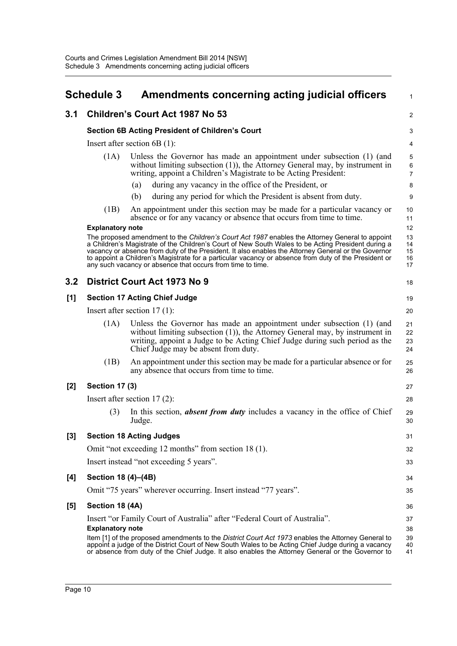<span id="page-13-0"></span>

|       | <b>Schedule 3</b>       | Amendments concerning acting judicial officers                                                                                                                                                                                                                                                                                                                                                                                                                                     | $\mathbf{1}$                       |
|-------|-------------------------|------------------------------------------------------------------------------------------------------------------------------------------------------------------------------------------------------------------------------------------------------------------------------------------------------------------------------------------------------------------------------------------------------------------------------------------------------------------------------------|------------------------------------|
| 3.1   |                         | <b>Children's Court Act 1987 No 53</b>                                                                                                                                                                                                                                                                                                                                                                                                                                             | 2                                  |
|       |                         | <b>Section 6B Acting President of Children's Court</b>                                                                                                                                                                                                                                                                                                                                                                                                                             | 3                                  |
|       |                         | Insert after section $6B(1)$ :                                                                                                                                                                                                                                                                                                                                                                                                                                                     | 4                                  |
|       | (1A)                    | Unless the Governor has made an appointment under subsection (1) (and<br>without limiting subsection $(1)$ ), the Attorney General may, by instrument in<br>writing, appoint a Children's Magistrate to be Acting President:                                                                                                                                                                                                                                                       | $\mathbf 5$<br>6<br>$\overline{7}$ |
|       |                         | during any vacancy in the office of the President, or<br>(a)                                                                                                                                                                                                                                                                                                                                                                                                                       | 8                                  |
|       |                         | (b)<br>during any period for which the President is absent from duty.                                                                                                                                                                                                                                                                                                                                                                                                              | 9                                  |
|       | (1B)                    | An appointment under this section may be made for a particular vacancy or<br>absence or for any vacancy or absence that occurs from time to time.                                                                                                                                                                                                                                                                                                                                  | 10<br>11                           |
|       | <b>Explanatory note</b> |                                                                                                                                                                                                                                                                                                                                                                                                                                                                                    | 12                                 |
|       |                         | The proposed amendment to the Children's Court Act 1987 enables the Attorney General to appoint<br>a Children's Magistrate of the Children's Court of New South Wales to be Acting President during a<br>vacancy or absence from duty of the President. It also enables the Attorney General or the Governor<br>to appoint a Children's Magistrate for a particular vacancy or absence from duty of the President or<br>any such vacancy or absence that occurs from time to time. | 13<br>14<br>15<br>16<br>17         |
| 3.2   |                         | District Court Act 1973 No 9                                                                                                                                                                                                                                                                                                                                                                                                                                                       | 18                                 |
| [1]   |                         | <b>Section 17 Acting Chief Judge</b>                                                                                                                                                                                                                                                                                                                                                                                                                                               | 19                                 |
|       |                         | Insert after section $17(1)$ :                                                                                                                                                                                                                                                                                                                                                                                                                                                     | 20                                 |
|       | (1A)                    | Unless the Governor has made an appointment under subsection (1) (and<br>without limiting subsection $(1)$ ), the Attorney General may, by instrument in<br>writing, appoint a Judge to be Acting Chief Judge during such period as the<br>Chief Judge may be absent from duty.                                                                                                                                                                                                    | 21<br>22<br>23<br>24               |
|       | (1B)                    | An appointment under this section may be made for a particular absence or for<br>any absence that occurs from time to time.                                                                                                                                                                                                                                                                                                                                                        | 25<br>26                           |
| [2]   | <b>Section 17 (3)</b>   |                                                                                                                                                                                                                                                                                                                                                                                                                                                                                    | 27                                 |
|       |                         | Insert after section $17(2)$ :                                                                                                                                                                                                                                                                                                                                                                                                                                                     | 28                                 |
|       | (3)                     | In this section, <b>absent from duty</b> includes a vacancy in the office of Chief<br>Judge.                                                                                                                                                                                                                                                                                                                                                                                       | 29<br>30                           |
| $[3]$ |                         | <b>Section 18 Acting Judges</b>                                                                                                                                                                                                                                                                                                                                                                                                                                                    | 31                                 |
|       |                         | Omit "not exceeding 12 months" from section 18 (1).                                                                                                                                                                                                                                                                                                                                                                                                                                | 32                                 |
|       |                         | Insert instead "not exceeding 5 years".                                                                                                                                                                                                                                                                                                                                                                                                                                            | 33                                 |
| [4]   | Section 18 (4)–(4B)     |                                                                                                                                                                                                                                                                                                                                                                                                                                                                                    | 34                                 |
|       |                         | Omit "75 years" wherever occurring. Insert instead "77 years".                                                                                                                                                                                                                                                                                                                                                                                                                     | 35                                 |
| [5]   | Section 18 (4A)         |                                                                                                                                                                                                                                                                                                                                                                                                                                                                                    | 36                                 |
|       | <b>Explanatory note</b> | Insert "or Family Court of Australia" after "Federal Court of Australia".<br>Item [1] of the proposed amendments to the District Court Act 1973 enables the Attorney General to<br>appoint a judge of the District Court of New South Wales to be Acting Chief Judge during a vacancy<br>or absence from duty of the Chief Judge. It also enables the Attorney General or the Governor to                                                                                          | 37<br>38<br>39<br>40<br>41         |
|       |                         |                                                                                                                                                                                                                                                                                                                                                                                                                                                                                    |                                    |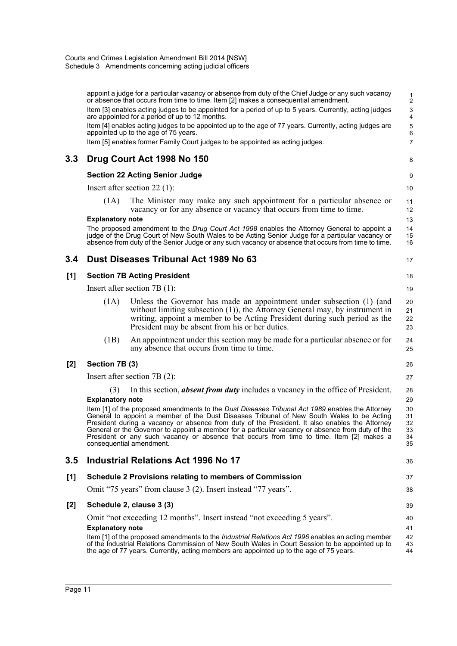|       |                         | appoint a judge for a particular vacancy or absence from duty of the Chief Judge or any such vacancy<br>or absence that occurs from time to time. Item [2] makes a consequential amendment.<br>Item [3] enables acting judges to be appointed for a period of up to 5 years. Currently, acting judges<br>are appointed for a period of up to 12 months.<br>Item [4] enables acting judges to be appointed up to the age of 77 years. Currently, acting judges are<br>appointed up to the age of 75 years.<br>Item [5] enables former Family Court judges to be appointed as acting judges. | $\frac{1}{2}$<br>3<br>4<br>5<br>6<br>$\overline{7}$ |
|-------|-------------------------|--------------------------------------------------------------------------------------------------------------------------------------------------------------------------------------------------------------------------------------------------------------------------------------------------------------------------------------------------------------------------------------------------------------------------------------------------------------------------------------------------------------------------------------------------------------------------------------------|-----------------------------------------------------|
| 3.3   |                         | Drug Court Act 1998 No 150                                                                                                                                                                                                                                                                                                                                                                                                                                                                                                                                                                 | 8                                                   |
|       |                         | <b>Section 22 Acting Senior Judge</b>                                                                                                                                                                                                                                                                                                                                                                                                                                                                                                                                                      | 9                                                   |
|       |                         | Insert after section 22 $(1)$ :                                                                                                                                                                                                                                                                                                                                                                                                                                                                                                                                                            | 10                                                  |
|       | (1A)                    | The Minister may make any such appointment for a particular absence or<br>vacancy or for any absence or vacancy that occurs from time to time.                                                                                                                                                                                                                                                                                                                                                                                                                                             | 11<br>12                                            |
|       | <b>Explanatory note</b> |                                                                                                                                                                                                                                                                                                                                                                                                                                                                                                                                                                                            | 13                                                  |
|       |                         | The proposed amendment to the Drug Court Act 1998 enables the Attorney General to appoint a<br>judge of the Drug Court of New South Wales to be Acting Senior Judge for a particular vacancy or<br>absence from duty of the Senior Judge or any such vacancy or absence that occurs from time to time.                                                                                                                                                                                                                                                                                     | 14<br>15<br>16                                      |
| 3.4   |                         | Dust Diseases Tribunal Act 1989 No 63                                                                                                                                                                                                                                                                                                                                                                                                                                                                                                                                                      | 17                                                  |
| [1]   |                         | <b>Section 7B Acting President</b>                                                                                                                                                                                                                                                                                                                                                                                                                                                                                                                                                         | 18                                                  |
|       |                         | Insert after section $7B(1)$ :                                                                                                                                                                                                                                                                                                                                                                                                                                                                                                                                                             | 19                                                  |
|       | (1A)                    | Unless the Governor has made an appointment under subsection (1) (and<br>without limiting subsection $(1)$ ), the Attorney General may, by instrument in<br>writing, appoint a member to be Acting President during such period as the<br>President may be absent from his or her duties.                                                                                                                                                                                                                                                                                                  | 20<br>21<br>22<br>23                                |
|       | (1B)                    | An appointment under this section may be made for a particular absence or for<br>any absence that occurs from time to time.                                                                                                                                                                                                                                                                                                                                                                                                                                                                | 24<br>25                                            |
| $[2]$ | Section 7B (3)          |                                                                                                                                                                                                                                                                                                                                                                                                                                                                                                                                                                                            | 26                                                  |
|       |                         | Insert after section $7B(2)$ :                                                                                                                                                                                                                                                                                                                                                                                                                                                                                                                                                             | 27                                                  |
|       | (3)                     | In this section, <b>absent from duty</b> includes a vacancy in the office of President.                                                                                                                                                                                                                                                                                                                                                                                                                                                                                                    | 28                                                  |
|       | <b>Explanatory note</b> | Item [1] of the proposed amendments to the Dust Diseases Tribunal Act 1989 enables the Attorney<br>General to appoint a member of the Dust Diseases Tribunal of New South Wales to be Acting<br>President during a vacancy or absence from duty of the President. It also enables the Attorney<br>General or the Governor to appoint a member for a particular vacancy or absence from duty of the<br>President or any such vacancy or absence that occurs from time to time. Item [2] makes a<br>consequential amendment.                                                                 | 29<br>30<br>31<br>32<br>33<br>34<br>35              |
| 3.5   |                         | <b>Industrial Relations Act 1996 No 17</b>                                                                                                                                                                                                                                                                                                                                                                                                                                                                                                                                                 | 36                                                  |
| [1]   |                         | <b>Schedule 2 Provisions relating to members of Commission</b>                                                                                                                                                                                                                                                                                                                                                                                                                                                                                                                             | 37                                                  |
|       |                         | Omit "75 years" from clause 3 (2). Insert instead "77 years".                                                                                                                                                                                                                                                                                                                                                                                                                                                                                                                              | 38                                                  |
| $[2]$ |                         | Schedule 2, clause 3 (3)                                                                                                                                                                                                                                                                                                                                                                                                                                                                                                                                                                   | 39                                                  |
|       |                         | Omit "not exceeding 12 months". Insert instead "not exceeding 5 years".                                                                                                                                                                                                                                                                                                                                                                                                                                                                                                                    | 40                                                  |
|       | <b>Explanatory note</b> |                                                                                                                                                                                                                                                                                                                                                                                                                                                                                                                                                                                            | 41                                                  |
|       |                         | Item [1] of the proposed amendments to the <i>Industrial Relations Act 1996</i> enables an acting member<br>of the Industrial Relations Commission of New South Wales in Court Session to be appointed up to<br>the age of 77 years. Currently, acting members are appointed up to the age of 75 years.                                                                                                                                                                                                                                                                                    | 42<br>43<br>44                                      |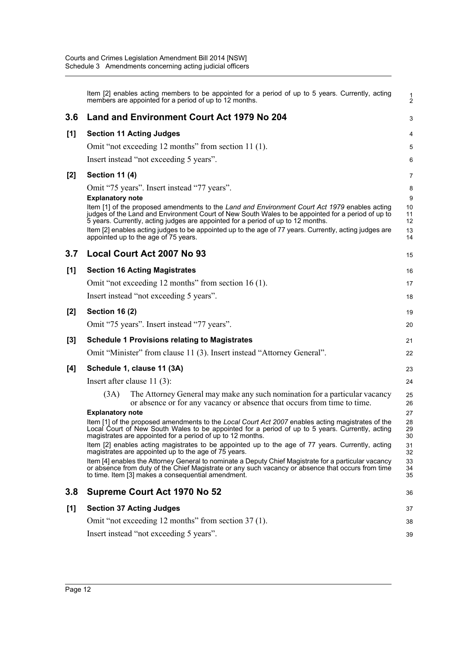|       | Item [2] enables acting members to be appointed for a period of up to 5 years. Currently, acting<br>members are appointed for a period of up to 12 months.                                                                                                                                                                                                                                                                                                                                                         | 1<br>$\overline{2}$                  |
|-------|--------------------------------------------------------------------------------------------------------------------------------------------------------------------------------------------------------------------------------------------------------------------------------------------------------------------------------------------------------------------------------------------------------------------------------------------------------------------------------------------------------------------|--------------------------------------|
| 3.6   | <b>Land and Environment Court Act 1979 No 204</b>                                                                                                                                                                                                                                                                                                                                                                                                                                                                  | 3                                    |
| [1]   | <b>Section 11 Acting Judges</b>                                                                                                                                                                                                                                                                                                                                                                                                                                                                                    | 4                                    |
|       | Omit "not exceeding 12 months" from section 11 (1).                                                                                                                                                                                                                                                                                                                                                                                                                                                                | 5                                    |
|       | Insert instead "not exceeding 5 years".                                                                                                                                                                                                                                                                                                                                                                                                                                                                            | 6                                    |
| [2]   | <b>Section 11 (4)</b>                                                                                                                                                                                                                                                                                                                                                                                                                                                                                              | 7                                    |
|       | Omit "75 years". Insert instead "77 years".<br><b>Explanatory note</b><br>Item [1] of the proposed amendments to the Land and Environment Court Act 1979 enables acting<br>judges of the Land and Environment Court of New South Wales to be appointed for a period of up to<br>5 years. Currently, acting judges are appointed for a period of up to 12 months.<br>Item [2] enables acting judges to be appointed up to the age of 77 years. Currently, acting judges are<br>appointed up to the age of 75 years. | 8<br>9<br>10<br>11<br>12<br>13<br>14 |
| 3.7   | Local Court Act 2007 No 93                                                                                                                                                                                                                                                                                                                                                                                                                                                                                         | 15                                   |
| [1]   | <b>Section 16 Acting Magistrates</b>                                                                                                                                                                                                                                                                                                                                                                                                                                                                               | 16                                   |
|       | Omit "not exceeding 12 months" from section 16 (1).                                                                                                                                                                                                                                                                                                                                                                                                                                                                | 17                                   |
|       | Insert instead "not exceeding 5 years".                                                                                                                                                                                                                                                                                                                                                                                                                                                                            | 18                                   |
| [2]   | <b>Section 16 (2)</b>                                                                                                                                                                                                                                                                                                                                                                                                                                                                                              | 19                                   |
|       | Omit "75 years". Insert instead "77 years".                                                                                                                                                                                                                                                                                                                                                                                                                                                                        | 20                                   |
| $[3]$ | <b>Schedule 1 Provisions relating to Magistrates</b>                                                                                                                                                                                                                                                                                                                                                                                                                                                               | 21                                   |
|       | Omit "Minister" from clause 11 (3). Insert instead "Attorney General".                                                                                                                                                                                                                                                                                                                                                                                                                                             | 22                                   |
| [4]   | Schedule 1, clause 11 (3A)                                                                                                                                                                                                                                                                                                                                                                                                                                                                                         | 23                                   |
|       | Insert after clause $11(3)$ :                                                                                                                                                                                                                                                                                                                                                                                                                                                                                      | 24                                   |
|       | (3A)<br>The Attorney General may make any such nomination for a particular vacancy<br>or absence or for any vacancy or absence that occurs from time to time.                                                                                                                                                                                                                                                                                                                                                      | 25<br>26                             |
|       | <b>Explanatory note</b><br>Item [1] of the proposed amendments to the Local Court Act 2007 enables acting magistrates of the<br>Local Court of New South Wales to be appointed for a period of up to 5 years. Currently, acting<br>magistrates are appointed for a period of up to 12 months.                                                                                                                                                                                                                      | 27<br>28<br>29<br>30                 |
|       | Item [2] enables acting magistrates to be appointed up to the age of 77 years. Currently, acting<br>magistrates are appointed up to the age of 75 years.                                                                                                                                                                                                                                                                                                                                                           | 31<br>32                             |
|       | Item [4] enables the Attorney General to nominate a Deputy Chief Magistrate for a particular vacancy<br>or absence from duty of the Chief Magistrate or any such vacancy or absence that occurs from time<br>to time. Item [3] makes a consequential amendment.                                                                                                                                                                                                                                                    | 33<br>34<br>35                       |
| 3.8   | Supreme Court Act 1970 No 52                                                                                                                                                                                                                                                                                                                                                                                                                                                                                       | 36                                   |
| [1]   | <b>Section 37 Acting Judges</b>                                                                                                                                                                                                                                                                                                                                                                                                                                                                                    | 37                                   |
|       | Omit "not exceeding 12 months" from section 37 (1).                                                                                                                                                                                                                                                                                                                                                                                                                                                                | 38                                   |
|       | Insert instead "not exceeding 5 years".                                                                                                                                                                                                                                                                                                                                                                                                                                                                            | 39                                   |
|       |                                                                                                                                                                                                                                                                                                                                                                                                                                                                                                                    |                                      |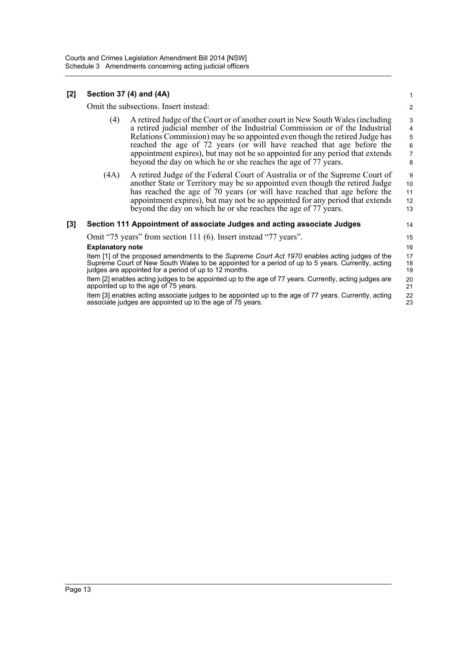#### **[2] Section 37 (4) and (4A)**

Omit the subsections. Insert instead:

(4) A retired Judge of the Court or of another court in New South Wales (including a retired judicial member of the Industrial Commission or of the Industrial Relations Commission) may be so appointed even though the retired Judge has reached the age of 72 years (or will have reached that age before the appointment expires), but may not be so appointed for any period that extends beyond the day on which he or she reaches the age of 77 years.

14 15 16

21 22 23

(4A) A retired Judge of the Federal Court of Australia or of the Supreme Court of another State or Territory may be so appointed even though the retired Judge has reached the age of 70 years (or will have reached that age before the appointment expires), but may not be so appointed for any period that extends beyond the day on which he or she reaches the age of 77 years. 10 11 12 13

#### **[3] Section 111 Appointment of associate Judges and acting associate Judges**

Omit "75 years" from section 111 (6). Insert instead "77 years".

#### **Explanatory note**

Item [1] of the proposed amendments to the *Supreme Court Act 1970* enables acting judges of the Supreme Court of New South Wales to be appointed for a period of up to 5 years. Currently, acting judges are appointed for a period of up to 12 months. 17 18 19 20

Item [2] enables acting judges to be appointed up to the age of 77 years. Currently, acting judges are appointed up to the age of 75 years.

Item [3] enables acting associate judges to be appointed up to the age of 77 years. Currently, acting associate judges are appointed up to the age of 75 years.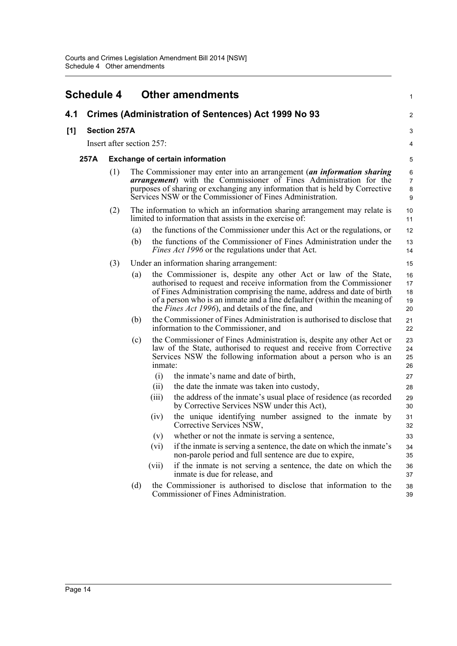<span id="page-17-0"></span>

| <b>Schedule 4</b> |                                                            |                           | <b>Other amendments</b>                |                                                                                                                                                                                                                                                                                                                                                   | 1                             |  |  |  |
|-------------------|------------------------------------------------------------|---------------------------|----------------------------------------|---------------------------------------------------------------------------------------------------------------------------------------------------------------------------------------------------------------------------------------------------------------------------------------------------------------------------------------------------|-------------------------------|--|--|--|
| 4.1               | <b>Crimes (Administration of Sentences) Act 1999 No 93</b> |                           |                                        |                                                                                                                                                                                                                                                                                                                                                   |                               |  |  |  |
| [1]               |                                                            | <b>Section 257A</b>       |                                        |                                                                                                                                                                                                                                                                                                                                                   | 3                             |  |  |  |
|                   |                                                            | Insert after section 257: |                                        |                                                                                                                                                                                                                                                                                                                                                   | 4                             |  |  |  |
| 257A              |                                                            |                           | <b>Exchange of certain information</b> |                                                                                                                                                                                                                                                                                                                                                   |                               |  |  |  |
|                   |                                                            | (1)                       |                                        | The Commissioner may enter into an arrangement (an information sharing<br><i>arrangement</i> ) with the Commissioner of Fines Administration for the<br>purposes of sharing or exchanging any information that is held by Corrective<br>Services NSW or the Commissioner of Fines Administration.                                                 | 6<br>$\overline{7}$<br>8<br>9 |  |  |  |
|                   |                                                            | (2)                       |                                        | The information to which an information sharing arrangement may relate is<br>limited to information that assists in the exercise of:                                                                                                                                                                                                              | 10<br>11                      |  |  |  |
|                   |                                                            |                           | (a)                                    | the functions of the Commissioner under this Act or the regulations, or                                                                                                                                                                                                                                                                           | 12                            |  |  |  |
|                   |                                                            |                           | (b)                                    | the functions of the Commissioner of Fines Administration under the<br><i>Fines Act 1996</i> or the regulations under that Act.                                                                                                                                                                                                                   | 13<br>14                      |  |  |  |
|                   |                                                            | (3)                       |                                        | Under an information sharing arrangement:                                                                                                                                                                                                                                                                                                         | 15                            |  |  |  |
|                   |                                                            |                           | (a)                                    | the Commissioner is, despite any other Act or law of the State,<br>authorised to request and receive information from the Commissioner<br>of Fines Administration comprising the name, address and date of birth<br>of a person who is an inmate and a fine defaulter (within the meaning of<br>the Fines Act 1996), and details of the fine, and | 16<br>17<br>18<br>19<br>20    |  |  |  |
|                   |                                                            |                           | (b)                                    | the Commissioner of Fines Administration is authorised to disclose that<br>information to the Commissioner, and                                                                                                                                                                                                                                   | 21<br>22                      |  |  |  |
|                   |                                                            |                           | (c)                                    | the Commissioner of Fines Administration is, despite any other Act or<br>law of the State, authorised to request and receive from Corrective<br>Services NSW the following information about a person who is an<br>inmate:                                                                                                                        | 23<br>24<br>25<br>26          |  |  |  |
|                   |                                                            |                           |                                        | (i)<br>the inmate's name and date of birth,                                                                                                                                                                                                                                                                                                       | 27                            |  |  |  |
|                   |                                                            |                           |                                        | (ii)<br>the date the inmate was taken into custody,                                                                                                                                                                                                                                                                                               | 28                            |  |  |  |
|                   |                                                            |                           |                                        | the address of the inmate's usual place of residence (as recorded<br>(iii)<br>by Corrective Services NSW under this Act),                                                                                                                                                                                                                         | 29<br>30                      |  |  |  |
|                   |                                                            |                           |                                        | the unique identifying number assigned to the inmate by<br>(iv)<br>Corrective Services NSW,                                                                                                                                                                                                                                                       | 31<br>32                      |  |  |  |
|                   |                                                            |                           |                                        | (v)<br>whether or not the inmate is serving a sentence,                                                                                                                                                                                                                                                                                           | 33                            |  |  |  |
|                   |                                                            |                           |                                        | if the inmate is serving a sentence, the date on which the inmate's<br>(vi)<br>non-parole period and full sentence are due to expire,                                                                                                                                                                                                             | 34<br>35                      |  |  |  |
|                   |                                                            |                           |                                        | if the inmate is not serving a sentence, the date on which the<br>(vii)<br>inmate is due for release, and                                                                                                                                                                                                                                         | 36<br>37                      |  |  |  |
|                   |                                                            |                           | (d)                                    | the Commissioner is authorised to disclose that information to the<br>Commissioner of Fines Administration.                                                                                                                                                                                                                                       | 38<br>39                      |  |  |  |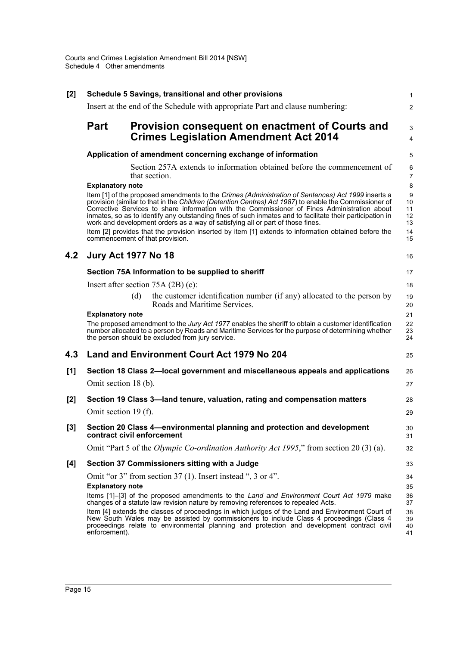| [2]   | Schedule 5 Savings, transitional and other provisions                                                   |                                                                                                                                                                                                                                                                                                                                                                                                                                                                                                                                                                                                                     |                                              |  |  |  |  |
|-------|---------------------------------------------------------------------------------------------------------|---------------------------------------------------------------------------------------------------------------------------------------------------------------------------------------------------------------------------------------------------------------------------------------------------------------------------------------------------------------------------------------------------------------------------------------------------------------------------------------------------------------------------------------------------------------------------------------------------------------------|----------------------------------------------|--|--|--|--|
|       |                                                                                                         | Insert at the end of the Schedule with appropriate Part and clause numbering:                                                                                                                                                                                                                                                                                                                                                                                                                                                                                                                                       | $\overline{2}$                               |  |  |  |  |
|       | Part<br>Provision consequent on enactment of Courts and<br><b>Crimes Legislation Amendment Act 2014</b> |                                                                                                                                                                                                                                                                                                                                                                                                                                                                                                                                                                                                                     |                                              |  |  |  |  |
|       |                                                                                                         | Application of amendment concerning exchange of information                                                                                                                                                                                                                                                                                                                                                                                                                                                                                                                                                         | 4<br>5                                       |  |  |  |  |
|       |                                                                                                         | Section 257A extends to information obtained before the commencement of<br>that section.                                                                                                                                                                                                                                                                                                                                                                                                                                                                                                                            | 6<br>$\overline{7}$                          |  |  |  |  |
|       | <b>Explanatory note</b>                                                                                 | Item [1] of the proposed amendments to the Crimes (Administration of Sentences) Act 1999 inserts a<br>provision (similar to that in the Children (Detention Centres) Act 1987) to enable the Commissioner of<br>Corrective Services to share information with the Commissioner of Fines Administration about<br>inmates, so as to identify any outstanding fines of such inmates and to facilitate their participation in<br>work and development orders as a way of satisfying all or part of those fines.<br>Item [2] provides that the provision inserted by item [1] extends to information obtained before the | 8<br>9<br>10<br>11<br>12<br>13<br>14         |  |  |  |  |
|       |                                                                                                         | commencement of that provision.                                                                                                                                                                                                                                                                                                                                                                                                                                                                                                                                                                                     | 15                                           |  |  |  |  |
| 4.2   | <b>Jury Act 1977 No 18</b>                                                                              |                                                                                                                                                                                                                                                                                                                                                                                                                                                                                                                                                                                                                     | 16                                           |  |  |  |  |
|       |                                                                                                         | Section 75A Information to be supplied to sheriff                                                                                                                                                                                                                                                                                                                                                                                                                                                                                                                                                                   | 17                                           |  |  |  |  |
|       |                                                                                                         | Insert after section $75A(2B)(c)$ :                                                                                                                                                                                                                                                                                                                                                                                                                                                                                                                                                                                 | 18                                           |  |  |  |  |
|       | <b>Explanatory note</b>                                                                                 | the customer identification number (if any) allocated to the person by<br>(d)<br>Roads and Maritime Services.                                                                                                                                                                                                                                                                                                                                                                                                                                                                                                       | 19<br>20<br>21                               |  |  |  |  |
|       |                                                                                                         | The proposed amendment to the Jury Act 1977 enables the sheriff to obtain a customer identification<br>number allocated to a person by Roads and Maritime Services for the purpose of determining whether<br>the person should be excluded from jury service.                                                                                                                                                                                                                                                                                                                                                       | 22<br>23<br>24                               |  |  |  |  |
| 4.3   |                                                                                                         | <b>Land and Environment Court Act 1979 No 204</b>                                                                                                                                                                                                                                                                                                                                                                                                                                                                                                                                                                   | 25                                           |  |  |  |  |
| [1]   | Section 18 Class 2—local government and miscellaneous appeals and applications                          |                                                                                                                                                                                                                                                                                                                                                                                                                                                                                                                                                                                                                     |                                              |  |  |  |  |
|       | Omit section 18 (b).                                                                                    |                                                                                                                                                                                                                                                                                                                                                                                                                                                                                                                                                                                                                     | 27                                           |  |  |  |  |
| $[2]$ |                                                                                                         | Section 19 Class 3—land tenure, valuation, rating and compensation matters                                                                                                                                                                                                                                                                                                                                                                                                                                                                                                                                          | 28                                           |  |  |  |  |
|       | Omit section 19 (f).                                                                                    |                                                                                                                                                                                                                                                                                                                                                                                                                                                                                                                                                                                                                     | 29                                           |  |  |  |  |
| $[3]$ |                                                                                                         | Section 20 Class 4—environmental planning and protection and development<br>contract civil enforcement                                                                                                                                                                                                                                                                                                                                                                                                                                                                                                              | 30<br>31                                     |  |  |  |  |
|       |                                                                                                         | Omit "Part 5 of the <i>Olympic Co-ordination Authority Act 1995</i> ," from section 20 (3) (a).                                                                                                                                                                                                                                                                                                                                                                                                                                                                                                                     | 32                                           |  |  |  |  |
| [4]   |                                                                                                         | Section 37 Commissioners sitting with a Judge                                                                                                                                                                                                                                                                                                                                                                                                                                                                                                                                                                       | 33                                           |  |  |  |  |
|       | <b>Explanatory note</b><br>enforcement).                                                                | Omit "or 3" from section 37 (1). Insert instead ", 3 or 4".<br>Items [1]-[3] of the proposed amendments to the Land and Environment Court Act 1979 make<br>changes of a statute law revision nature by removing references to repealed Acts.<br>Item [4] extends the classes of proceedings in which judges of the Land and Environment Court of<br>New South Wales may be assisted by commissioners to include Class 4 proceedings (Class 4<br>proceedings relate to environmental planning and protection and development contract civil                                                                          | 34<br>35<br>36<br>37<br>38<br>39<br>40<br>41 |  |  |  |  |
|       |                                                                                                         |                                                                                                                                                                                                                                                                                                                                                                                                                                                                                                                                                                                                                     |                                              |  |  |  |  |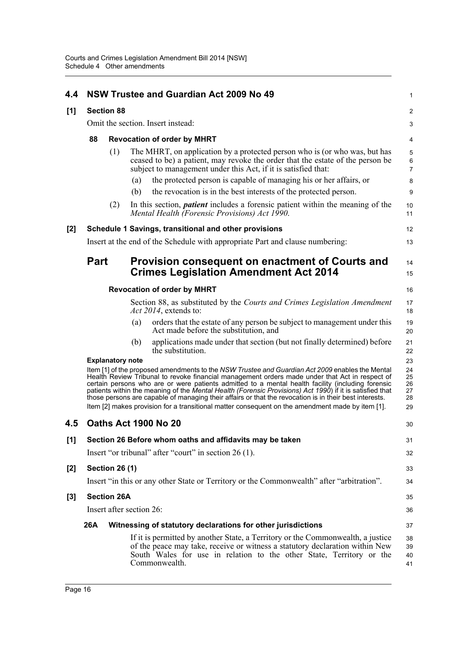| 4.4   |                                    |                         | NSW Trustee and Guardian Act 2009 No 49                                                                                                                                                                                                                                                                                                                                                                                                                                                                                      | 1                                                                                                            |  |
|-------|------------------------------------|-------------------------|------------------------------------------------------------------------------------------------------------------------------------------------------------------------------------------------------------------------------------------------------------------------------------------------------------------------------------------------------------------------------------------------------------------------------------------------------------------------------------------------------------------------------|--------------------------------------------------------------------------------------------------------------|--|
| [1]   |                                    | <b>Section 88</b>       |                                                                                                                                                                                                                                                                                                                                                                                                                                                                                                                              | 2                                                                                                            |  |
|       |                                    |                         | Omit the section. Insert instead:                                                                                                                                                                                                                                                                                                                                                                                                                                                                                            | $\ensuremath{\mathsf{3}}$<br>4<br>$\mathbf 5$<br>$\,6\,$<br>$\overline{7}$<br>8<br>9<br>10<br>11<br>12<br>13 |  |
|       | 88                                 |                         | <b>Revocation of order by MHRT</b>                                                                                                                                                                                                                                                                                                                                                                                                                                                                                           |                                                                                                              |  |
|       |                                    | (1)                     | The MHRT, on application by a protected person who is (or who was, but has<br>ceased to be) a patient, may revoke the order that the estate of the person be<br>subject to management under this Act, if it is satisfied that:                                                                                                                                                                                                                                                                                               |                                                                                                              |  |
|       |                                    |                         | the protected person is capable of managing his or her affairs, or<br>(a)<br>the revocation is in the best interests of the protected person.<br>(b)                                                                                                                                                                                                                                                                                                                                                                         |                                                                                                              |  |
|       |                                    | (2)                     | In this section, <i>patient</i> includes a forensic patient within the meaning of the<br>Mental Health (Forensic Provisions) Act 1990.                                                                                                                                                                                                                                                                                                                                                                                       |                                                                                                              |  |
| [2]   |                                    |                         | Schedule 1 Savings, transitional and other provisions                                                                                                                                                                                                                                                                                                                                                                                                                                                                        |                                                                                                              |  |
|       |                                    |                         | Insert at the end of the Schedule with appropriate Part and clause numbering:                                                                                                                                                                                                                                                                                                                                                                                                                                                |                                                                                                              |  |
|       | <b>Part</b>                        |                         | Provision consequent on enactment of Courts and                                                                                                                                                                                                                                                                                                                                                                                                                                                                              | 14                                                                                                           |  |
|       |                                    |                         | <b>Crimes Legislation Amendment Act 2014</b>                                                                                                                                                                                                                                                                                                                                                                                                                                                                                 | 15                                                                                                           |  |
|       | <b>Revocation of order by MHRT</b> |                         |                                                                                                                                                                                                                                                                                                                                                                                                                                                                                                                              |                                                                                                              |  |
|       |                                    |                         | Section 88, as substituted by the Courts and Crimes Legislation Amendment<br>Act 2014, extends to:                                                                                                                                                                                                                                                                                                                                                                                                                           | 17<br>18                                                                                                     |  |
|       |                                    |                         | orders that the estate of any person be subject to management under this<br>(a)<br>Act made before the substitution, and                                                                                                                                                                                                                                                                                                                                                                                                     | 19<br>20                                                                                                     |  |
|       |                                    |                         | applications made under that section (but not finally determined) before<br>(b)<br>the substitution.                                                                                                                                                                                                                                                                                                                                                                                                                         | 21<br>22                                                                                                     |  |
|       |                                    | <b>Explanatory note</b> |                                                                                                                                                                                                                                                                                                                                                                                                                                                                                                                              | 23                                                                                                           |  |
|       |                                    |                         | Item [1] of the proposed amendments to the NSW Trustee and Guardian Act 2009 enables the Mental<br>Health Review Tribunal to revoke financial management orders made under that Act in respect of<br>certain persons who are or were patients admitted to a mental health facility (including forensic<br>patients within the meaning of the Mental Health (Forensic Provisions) Act 1990) if it is satisfied that<br>those persons are capable of managing their affairs or that the revocation is in their best interests. | 24<br>25<br>26<br>27<br>28                                                                                   |  |
|       |                                    |                         | Item [2] makes provision for a transitional matter consequent on the amendment made by item [1].                                                                                                                                                                                                                                                                                                                                                                                                                             | 29                                                                                                           |  |
| 4.5   |                                    |                         | <b>Oaths Act 1900 No 20</b>                                                                                                                                                                                                                                                                                                                                                                                                                                                                                                  | 30                                                                                                           |  |
| [1]   |                                    |                         | Section 26 Before whom oaths and affidavits may be taken                                                                                                                                                                                                                                                                                                                                                                                                                                                                     | 31                                                                                                           |  |
|       |                                    |                         | Insert "or tribunal" after "court" in section 26 (1).                                                                                                                                                                                                                                                                                                                                                                                                                                                                        | 32                                                                                                           |  |
| $[2]$ |                                    | <b>Section 26 (1)</b>   |                                                                                                                                                                                                                                                                                                                                                                                                                                                                                                                              | 33                                                                                                           |  |
|       |                                    |                         | Insert "in this or any other State or Territory or the Commonwealth" after "arbitration".                                                                                                                                                                                                                                                                                                                                                                                                                                    | 34                                                                                                           |  |
| $[3]$ |                                    | <b>Section 26A</b>      |                                                                                                                                                                                                                                                                                                                                                                                                                                                                                                                              | 35                                                                                                           |  |
|       |                                    |                         | Insert after section 26:                                                                                                                                                                                                                                                                                                                                                                                                                                                                                                     | 36                                                                                                           |  |
|       | 26A                                |                         | Witnessing of statutory declarations for other jurisdictions                                                                                                                                                                                                                                                                                                                                                                                                                                                                 | 37                                                                                                           |  |
|       |                                    |                         | If it is permitted by another State, a Territory or the Commonwealth, a justice<br>of the peace may take, receive or witness a statutory declaration within New<br>South Wales for use in relation to the other State, Territory or the<br>Commonwealth.                                                                                                                                                                                                                                                                     | 38<br>39<br>40<br>41                                                                                         |  |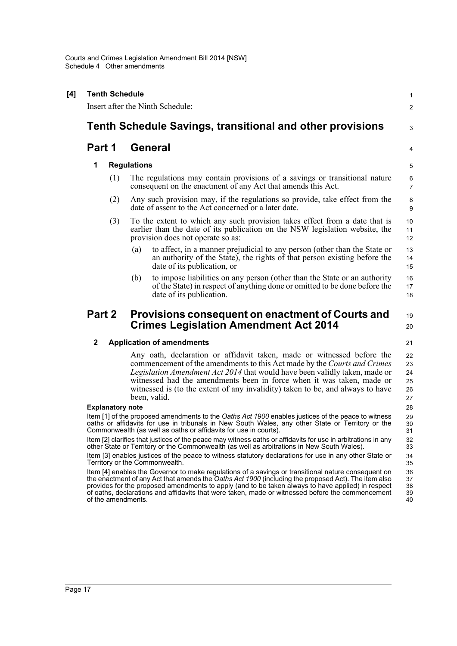| <b>Tenth Schedule</b><br>Insert after the Ninth Schedule:        |                                                                                                        |                                                                                                                                                                                                                                                                                                                                                                                                                     |  |  |  |  |  |
|------------------------------------------------------------------|--------------------------------------------------------------------------------------------------------|---------------------------------------------------------------------------------------------------------------------------------------------------------------------------------------------------------------------------------------------------------------------------------------------------------------------------------------------------------------------------------------------------------------------|--|--|--|--|--|
|                                                                  |                                                                                                        |                                                                                                                                                                                                                                                                                                                                                                                                                     |  |  |  |  |  |
| <b>Tenth Schedule Savings, transitional and other provisions</b> |                                                                                                        |                                                                                                                                                                                                                                                                                                                                                                                                                     |  |  |  |  |  |
| Part 1                                                           | <b>General</b>                                                                                         |                                                                                                                                                                                                                                                                                                                                                                                                                     |  |  |  |  |  |
| 1                                                                | <b>Regulations</b>                                                                                     |                                                                                                                                                                                                                                                                                                                                                                                                                     |  |  |  |  |  |
| (1)                                                              |                                                                                                        | The regulations may contain provisions of a savings or transitional nature<br>consequent on the enactment of any Act that amends this Act.                                                                                                                                                                                                                                                                          |  |  |  |  |  |
| (2)                                                              |                                                                                                        | Any such provision may, if the regulations so provide, take effect from the<br>date of assent to the Act concerned or a later date.                                                                                                                                                                                                                                                                                 |  |  |  |  |  |
| (3)                                                              |                                                                                                        | To the extent to which any such provision takes effect from a date that is<br>earlier than the date of its publication on the NSW legislation website, the<br>provision does not operate so as:                                                                                                                                                                                                                     |  |  |  |  |  |
|                                                                  | (a)                                                                                                    | to affect, in a manner prejudicial to any person (other than the State or<br>an authority of the State), the rights of that person existing before the<br>date of its publication, or                                                                                                                                                                                                                               |  |  |  |  |  |
|                                                                  | (b)                                                                                                    | to impose liabilities on any person (other than the State or an authority<br>of the State) in respect of anything done or omitted to be done before the<br>date of its publication.                                                                                                                                                                                                                                 |  |  |  |  |  |
| Part 2                                                           |                                                                                                        | Provisions consequent on enactment of Courts and<br><b>Crimes Legislation Amendment Act 2014</b>                                                                                                                                                                                                                                                                                                                    |  |  |  |  |  |
| $\mathbf{2}$                                                     |                                                                                                        | <b>Application of amendments</b>                                                                                                                                                                                                                                                                                                                                                                                    |  |  |  |  |  |
|                                                                  | been, valid.                                                                                           | Any oath, declaration or affidavit taken, made or witnessed before the<br>commencement of the amendments to this Act made by the Courts and Crimes<br><i>Legislation Amendment Act 2014</i> that would have been validly taken, made or<br>witnessed had the amendments been in force when it was taken, made or<br>witnessed is (to the extent of any invalidity) taken to be, and always to have                  |  |  |  |  |  |
| <b>Explanatory note</b>                                          |                                                                                                        |                                                                                                                                                                                                                                                                                                                                                                                                                     |  |  |  |  |  |
|                                                                  |                                                                                                        | Item [1] of the proposed amendments to the Oaths Act 1900 enables justices of the peace to witness<br>oaths or affidavits for use in tribunals in New South Wales, any other State or Territory or the<br>Commonwealth (as well as oaths or affidavits for use in courts).                                                                                                                                          |  |  |  |  |  |
|                                                                  |                                                                                                        | Item [2] clarifies that justices of the peace may witness oaths or affidavits for use in arbitrations in any<br>other State or Territory or the Commonwealth (as well as arbitrations in New South Wales).                                                                                                                                                                                                          |  |  |  |  |  |
| Territory or the Commonwealth.                                   | Item [3] enables justices of the peace to witness statutory declarations for use in any other State or |                                                                                                                                                                                                                                                                                                                                                                                                                     |  |  |  |  |  |
| of the amendments.                                               |                                                                                                        | Item [4] enables the Governor to make regulations of a savings or transitional nature consequent on<br>the enactment of any Act that amends the Oaths Act 1900 (including the proposed Act). The item also<br>provides for the proposed amendments to apply (and to be taken always to have applied) in respect<br>of oaths, declarations and affidavits that were taken, made or witnessed before the commencement |  |  |  |  |  |